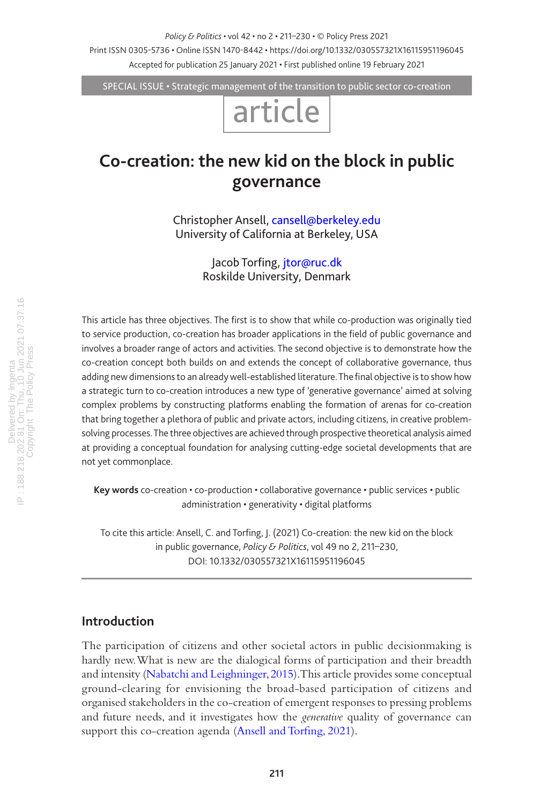*Policy & Politics* • vol 42 • no 2 • 211–230 • © Policy Press 2021

Print ISSN 0305-5736 • Online ISSN 1470-8442 • https://doi.org/10.1332/030557321X16115951196045 Accepted for publication 25 January 2021 • First published online 19 February 2021

SPECIAL ISSUE • Strategic management of the transition to public sector co-creation

# article

# **Co-creation: the new kid on the block in public governance**

Christopher Ansell, [cansell@berkeley.edu](mailto:cansell@berkeley.edu) University of California at Berkeley, USA

> Jacob Torfing, [jtor@ruc.dk](mailto:jtor@ruc.dk) Roskilde University, Denmark

This article has three objectives. The first is to show that while co-production was originally tied to service production, co-creation has broader applications in the field of public governance and involves a broader range of actors and activities. The second objective is to demonstrate how the co-creation concept both builds on and extends the concept of collaborative governance, thus adding new dimensions to an already well-established literature. The final objective is to show how a strategic turn to co-creation introduces a new type of 'generative governance' aimed at solving complex problems by constructing platforms enabling the formation of arenas for co-creation that bring together a plethora of public and private actors, including citizens, in creative problemsolving processes. The three objectives are achieved through prospective theoretical analysis aimed at providing a conceptual foundation for analysing cutting-edge societal developments that are not yet commonplace.

**Key words** co-creation • co-production • collaborative governance • public services • public administration • generativity • digital platforms

To cite this article: Ansell, C. and Torfing, J. (2021) Co-creation: the new kid on the block in public governance, *Policy & Politics*, vol 49 no 2, 211–230, DOI: 10.1332/030557321X16115951196045

# **Introduction**

The participation of citizens and other societal actors in public decisionmaking is hardly new. What is new are the dialogical forms of participation and their breadth and intensity ([Nabatchi and Leighninger, 2015\)](#page-18-0). This article provides some conceptual ground-clearing for envisioning the broad-based participation of citizens and organised stakeholders in the co-creation of emergent responses to pressing problems and future needs, and it investigates how the *generative* quality of governance can support this co-creation agenda ([Ansell and Torfing, 2021](#page-15-0)).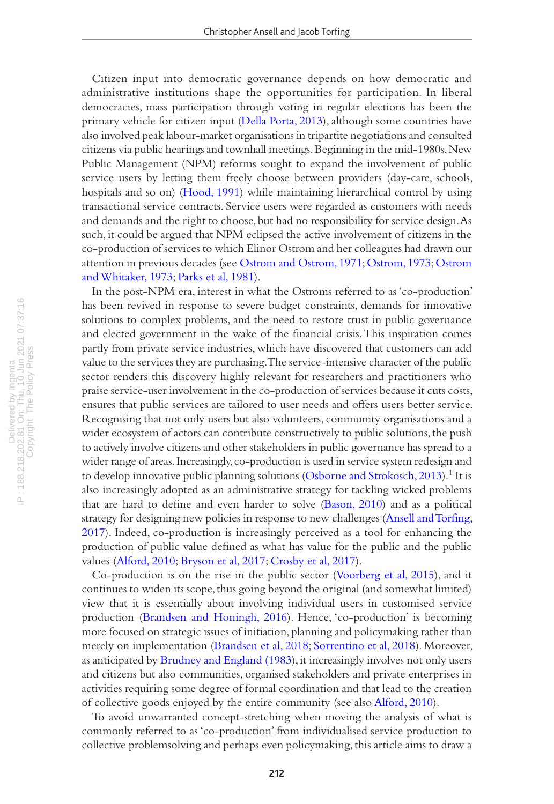Citizen input into democratic governance depends on how democratic and administrative institutions shape the opportunities for participation. In liberal democracies, mass participation through voting in regular elections has been the primary vehicle for citizen input ([Della Porta, 2013](#page-16-0)), although some countries have also involved peak labour-market organisations in tripartite negotiations and consulted citizens via public hearings and townhall meetings. Beginning in the mid-1980s, New Public Management (NPM) reforms sought to expand the involvement of public service users by letting them freely choose between providers (day-care, schools, hospitals and so on) [\(Hood, 1991](#page-17-0)) while maintaining hierarchical control by using transactional service contracts. Service users were regarded as customers with needs and demands and the right to choose, but had no responsibility for service design. As such, it could be argued that NPM eclipsed the active involvement of citizens in the co-production of services to which Elinor Ostrom and her colleagues had drawn our attention in previous decades (see [Ostrom and Ostrom, 1971](#page-18-1); [Ostrom, 1973; Ostrom](#page-18-2)  [and Whitaker, 1973](#page-18-2); [Parks et al, 1981\)](#page-18-3).

In the post-NPM era, interest in what the Ostroms referred to as 'co-production' has been revived in response to severe budget constraints, demands for innovative solutions to complex problems, and the need to restore trust in public governance and elected government in the wake of the financial crisis. This inspiration comes partly from private service industries, which have discovered that customers can add value to the services they are purchasing. The service-intensive character of the public sector renders this discovery highly relevant for researchers and practitioners who praise service-user involvement in the co-production of services because it cuts costs, ensures that public services are tailored to user needs and offers users better service. Recognising that not only users but also volunteers, community organisations and a wider ecosystem of actors can contribute constructively to public solutions, the push to actively involve citizens and other stakeholders in public governance has spread to a wider range of areas. Increasingly, co-production is used in service system redesign and to develop innovative public planning solutions ([Osborne and Strokosch, 2013](#page-18-4)).<sup>1</sup> It is also increasingly adopted as an administrative strategy for tackling wicked problems that are hard to define and even harder to solve [\(Bason, 2010\)](#page-15-1) and as a political strategy for designing new policies in response to new challenges ([Ansell and Torfing,](#page-15-2)  [2017\)](#page-15-2). Indeed, co-production is increasingly perceived as a tool for enhancing the production of public value defined as what has value for the public and the public values ([Alford, 2010](#page-14-0); [Bryson et al, 2017;](#page-16-1) [Crosby et al, 2017](#page-16-2)).

Co-production is on the rise in the public sector [\(Voorberg et al, 2015\)](#page-19-0), and it continues to widen its scope, thus going beyond the original (and somewhat limited) view that it is essentially about involving individual users in customised service production ([Brandsen and Honingh, 2016\)](#page-15-3). Hence, 'co-production' is becoming more focused on strategic issues of initiation, planning and policymaking rather than merely on implementation ([Brandsen et al, 2018;](#page-15-4) [Sorrentino et al, 2018\)](#page-19-1). Moreover, as anticipated by [Brudney and England \(1983\)](#page-16-3), it increasingly involves not only users and citizens but also communities, organised stakeholders and private enterprises in activities requiring some degree of formal coordination and that lead to the creation of collective goods enjoyed by the entire community (see also [Alford, 2010](#page-14-0)).

To avoid unwarranted concept-stretching when moving the analysis of what is commonly referred to as 'co-production' from individualised service production to collective problemsolving and perhaps even policymaking, this article aims to draw a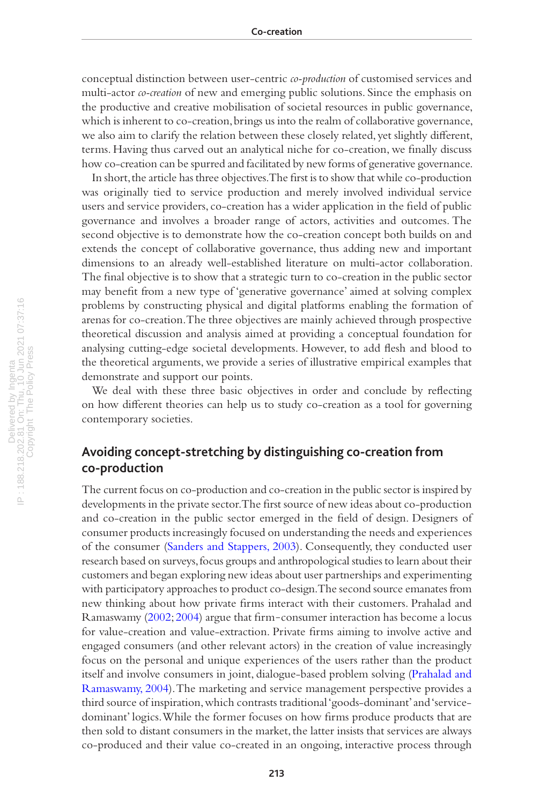conceptual distinction between user-centric *co-production* of customised services and multi-actor *co-creation* of new and emerging public solutions. Since the emphasis on the productive and creative mobilisation of societal resources in public governance, which is inherent to co-creation, brings us into the realm of collaborative governance, we also aim to clarify the relation between these closely related, yet slightly different, terms. Having thus carved out an analytical niche for co-creation, we finally discuss how co-creation can be spurred and facilitated by new forms of generative governance.

In short, the article has three objectives. The first is to show that while co-production was originally tied to service production and merely involved individual service users and service providers, co-creation has a wider application in the field of public governance and involves a broader range of actors, activities and outcomes. The second objective is to demonstrate how the co-creation concept both builds on and extends the concept of collaborative governance, thus adding new and important dimensions to an already well-established literature on multi-actor collaboration. The final objective is to show that a strategic turn to co-creation in the public sector may benefit from a new type of 'generative governance' aimed at solving complex problems by constructing physical and digital platforms enabling the formation of arenas for co-creation. The three objectives are mainly achieved through prospective theoretical discussion and analysis aimed at providing a conceptual foundation for analysing cutting-edge societal developments. However, to add flesh and blood to the theoretical arguments, we provide a series of illustrative empirical examples that demonstrate and support our points.

We deal with these three basic objectives in order and conclude by reflecting on how different theories can help us to study co-creation as a tool for governing contemporary societies.

# **Avoiding concept-stretching by distinguishing co-creation from co-production**

The current focus on co-production and co-creation in the public sector is inspired by developments in the private sector. The first source of new ideas about co-production and co-creation in the public sector emerged in the field of design. Designers of consumer products increasingly focused on understanding the needs and experiences of the consumer [\(Sanders and Stappers, 2003\)](#page-19-2). Consequently, they conducted user research based on surveys, focus groups and anthropological studies to learn about their customers and began exploring new ideas about user partnerships and experimenting with participatory approaches to product co-design. The second source emanates from new thinking about how private firms interact with their customers. Prahalad and Ramaswamy [\(2002;](#page-18-5) [2004](#page-18-6)) argue that firm-consumer interaction has become a locus for value-creation and value-extraction. Private firms aiming to involve active and engaged consumers (and other relevant actors) in the creation of value increasingly focus on the personal and unique experiences of the users rather than the product itself and involve consumers in joint, dialogue-based problem solving ([Prahalad and](#page-18-6)  [Ramaswamy, 2004\)](#page-18-6). The marketing and service management perspective provides a third source of inspiration, which contrasts traditional 'goods-dominant' and 'servicedominant' logics. While the former focuses on how firms produce products that are then sold to distant consumers in the market, the latter insists that services are always co-produced and their value co-created in an ongoing, interactive process through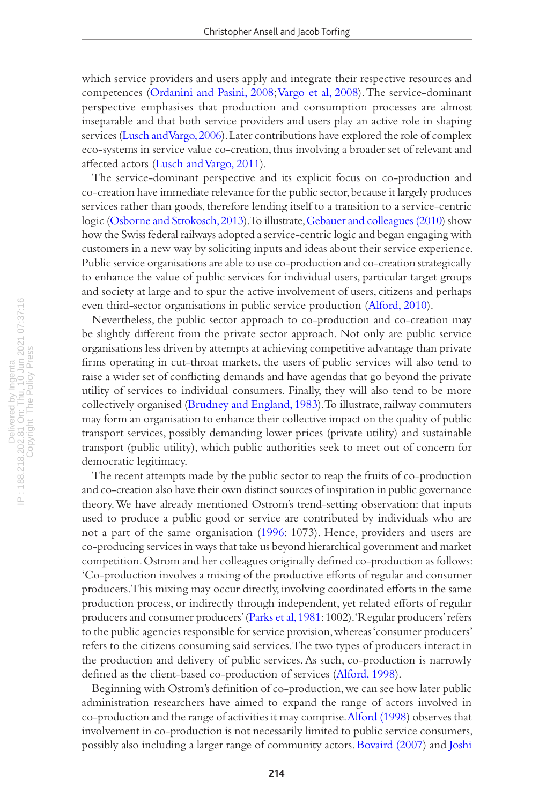which service providers and users apply and integrate their respective resources and competences [\(Ordanini and Pasini, 2008](#page-18-7); [Vargo et al, 2008](#page-19-3)). The service-dominant perspective emphasises that production and consumption processes are almost inseparable and that both service providers and users play an active role in shaping services ([Lusch and Vargo, 2006](#page-17-1)). Later contributions have explored the role of complex eco-systems in service value co-creation, thus involving a broader set of relevant and affected actors [\(Lusch and Vargo, 2011\)](#page-17-2).

The service-dominant perspective and its explicit focus on co-production and co-creation have immediate relevance for the public sector, because it largely produces services rather than goods, therefore lending itself to a transition to a service-centric logic ([Osborne and Strokosch, 2013\)](#page-18-4). To illustrate, [Gebauer and colleagues \(2010](#page-16-4)) show how the Swiss federal railways adopted a service-centric logic and began engaging with customers in a new way by soliciting inputs and ideas about their service experience. Public service organisations are able to use co-production and co-creation strategically to enhance the value of public services for individual users, particular target groups and society at large and to spur the active involvement of users, citizens and perhaps even third-sector organisations in public service production [\(Alford, 2010](#page-14-0)).

Nevertheless, the public sector approach to co-production and co-creation may be slightly different from the private sector approach. Not only are public service organisations less driven by attempts at achieving competitive advantage than private firms operating in cut-throat markets, the users of public services will also tend to raise a wider set of conflicting demands and have agendas that go beyond the private utility of services to individual consumers. Finally, they will also tend to be more collectively organised ([Brudney and England, 1983\)](#page-16-3). To illustrate, railway commuters may form an organisation to enhance their collective impact on the quality of public transport services, possibly demanding lower prices (private utility) and sustainable transport (public utility), which public authorities seek to meet out of concern for democratic legitimacy.

The recent attempts made by the public sector to reap the fruits of co-production and co-creation also have their own distinct sources of inspiration in public governance theory. We have already mentioned Ostrom's trend-setting observation: that inputs used to produce a public good or service are contributed by individuals who are not a part of the same organisation ([1996](#page-18-8): 1073). Hence, providers and users are co-producing services in ways that take us beyond hierarchical government and market competition. Ostrom and her colleagues originally defined co-production as follows: 'Co-production involves a mixing of the productive efforts of regular and consumer producers. This mixing may occur directly, involving coordinated efforts in the same production process, or indirectly through independent, yet related efforts of regular producers and consumer producers' [\(Parks et al, 1981:](#page-18-3) 1002). 'Regular producers' refers to the public agencies responsible for service provision, whereas 'consumer producers' refers to the citizens consuming said services. The two types of producers interact in the production and delivery of public services. As such, co-production is narrowly defined as the client-based co-production of services [\(Alford, 1998\)](#page-14-1).

Beginning with Ostrom's definition of co-production, we can see how later public administration researchers have aimed to expand the range of actors involved in co-production and the range of activities it may comprise. [Alford \(1998](#page-14-1)) observes that involvement in co-production is not necessarily limited to public service consumers, possibly also including a larger range of community actors. [Bovaird \(2007\)](#page-15-5) and [Joshi](#page-17-3)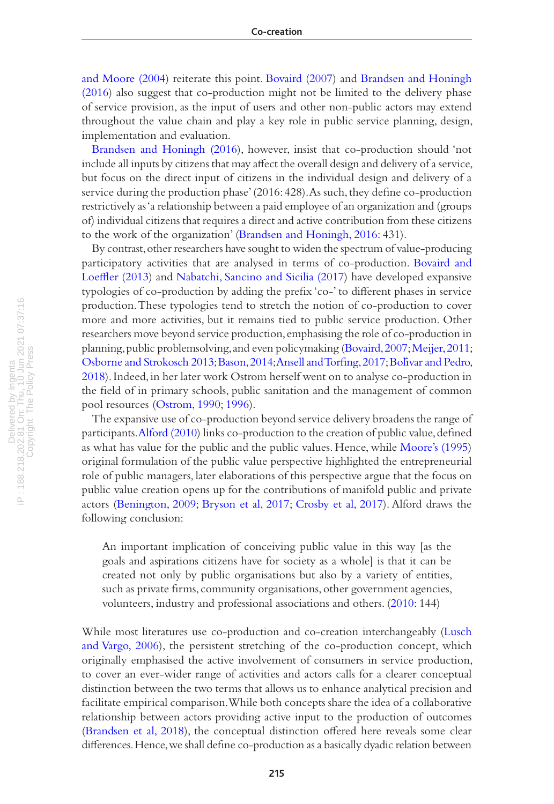[and Moore \(2004\)](#page-17-3) reiterate this point. [Bovaird \(2007](#page-15-5)) and [Brandsen and Honingh](#page-15-3)  [\(2016\)](#page-15-3) also suggest that co-production might not be limited to the delivery phase of service provision, as the input of users and other non-public actors may extend throughout the value chain and play a key role in public service planning, design, implementation and evaluation.

[Brandsen and Honingh \(2016\)](#page-15-3), however, insist that co-production should 'not include all inputs by citizens that may affect the overall design and delivery of a service, but focus on the direct input of citizens in the individual design and delivery of a service during the production phase' (2016: 428). As such, they define co-production restrictively as 'a relationship between a paid employee of an organization and (groups of) individual citizens that requires a direct and active contribution from these citizens to the work of the organization' [\(Brandsen and Honingh, 2016](#page-15-3): 431).

By contrast, other researchers have sought to widen the spectrum of value-producing participatory activities that are analysed in terms of co-production. [Bovaird and](#page-15-6)  [Loeffler \(2013](#page-15-6)) and [Nabatchi, Sancino and Sicilia \(2017](#page-18-9)) have developed expansive typologies of co-production by adding the prefix 'co-' to different phases in service production. These typologies tend to stretch the notion of co-production to cover more and more activities, but it remains tied to public service production. Other researchers move beyond service production, emphasising the role of co-production in planning, public problemsolving, and even policymaking ([Bovaird, 2007](#page-15-5); [Meijer, 2011;](#page-18-10) [Osborne and Strokosch 2013](#page-18-4); [Bason, 2014](#page-15-7)[; Ansell and Torfing, 2017](#page-15-2); [Bolivar and Pedro,](#page-15-8) ́ [2018\)](#page-15-8). Indeed, in her later work Ostrom herself went on to analyse co-production in the field of in primary schools, public sanitation and the management of common pool resources [\(Ostrom, 1990](#page-18-8); [1996](#page-18-11)).

The expansive use of co-production beyond service delivery broadens the range of participants. [Alford \(2010\)](#page-14-0) links co-production to the creation of public value, defined as what has value for the public and the public values. Hence, while [Moore's \(1995](#page-18-12)) original formulation of the public value perspective highlighted the entrepreneurial role of public managers, later elaborations of this perspective argue that the focus on public value creation opens up for the contributions of manifold public and private actors ([Benington, 2009;](#page-15-9) [Bryson et al, 2017](#page-16-1); [Crosby et al, 2017](#page-16-2)). Alford draws the following conclusion:

An important implication of conceiving public value in this way [as the goals and aspirations citizens have for society as a whole] is that it can be created not only by public organisations but also by a variety of entities, such as private firms, community organisations, other government agencies, volunteers, industry and professional associations and others. [\(2010:](#page-14-0) 144)

While most literatures use co-production and co-creation interchangeably [\(Lusch](#page-17-1)  [and Vargo, 2006\)](#page-17-1), the persistent stretching of the co-production concept, which originally emphasised the active involvement of consumers in service production, to cover an ever-wider range of activities and actors calls for a clearer conceptual distinction between the two terms that allows us to enhance analytical precision and facilitate empirical comparison. While both concepts share the idea of a collaborative relationship between actors providing active input to the production of outcomes [\(Brandsen et al, 2018](#page-15-4)), the conceptual distinction offered here reveals some clear differences. Hence, we shall define co-production as a basically dyadic relation between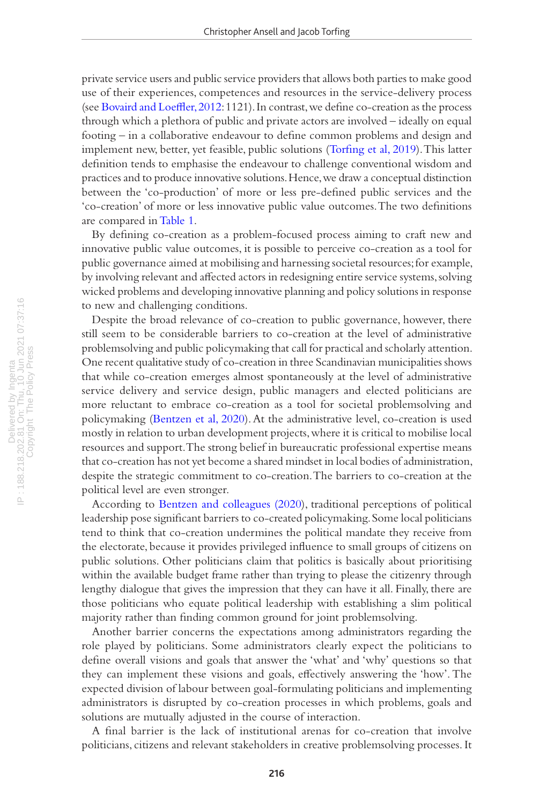private service users and public service providers that allows both parties to make good use of their experiences, competences and resources in the service-delivery process (see [Bovaird and Loeffler, 2012](#page-15-10): 1121). In contrast, we define co-creation as the process through which a plethora of public and private actors are involved – ideally on equal footing – in a collaborative endeavour to define common problems and design and implement new, better, yet feasible, public solutions [\(Torfing et al, 2019\)](#page-19-4). This latter definition tends to emphasise the endeavour to challenge conventional wisdom and practices and to produce innovative solutions. Hence, we draw a conceptual distinction between the 'co-production' of more or less pre-defined public services and the 'co-creation' of more or less innovative public value outcomes. The two definitions are compared in [Table 1.](#page-6-0)

By defining co-creation as a problem-focused process aiming to craft new and innovative public value outcomes, it is possible to perceive co-creation as a tool for public governance aimed at mobilising and harnessing societal resources; for example, by involving relevant and affected actors in redesigning entire service systems, solving wicked problems and developing innovative planning and policy solutions in response to new and challenging conditions.

Despite the broad relevance of co-creation to public governance, however, there still seem to be considerable barriers to co-creation at the level of administrative problemsolving and public policymaking that call for practical and scholarly attention. One recent qualitative study of co-creation in three Scandinavian municipalities shows that while co-creation emerges almost spontaneously at the level of administrative service delivery and service design, public managers and elected politicians are more reluctant to embrace co-creation as a tool for societal problemsolving and policymaking ([Bentzen et al, 2](#page-15-11)020). At the administrative level, co-creation is used mostly in relation to urban development projects, where it is critical to mobilise local resources and support. The strong belief in bureaucratic professional expertise means that co-creation has not yet become a shared mindset in local bodies of administration, despite the strategic commitment to co-creation. The barriers to co-creation at the political level are even stronger.

According to [Bentzen and colleagues \(2](#page-15-11)020), traditional perceptions of political leadership pose significant barriers to co-created policymaking. Some local politicians tend to think that co-creation undermines the political mandate they receive from the electorate, because it provides privileged influence to small groups of citizens on public solutions. Other politicians claim that politics is basically about prioritising within the available budget frame rather than trying to please the citizenry through lengthy dialogue that gives the impression that they can have it all. Finally, there are those politicians who equate political leadership with establishing a slim political majority rather than finding common ground for joint problemsolving.

Another barrier concerns the expectations among administrators regarding the role played by politicians. Some administrators clearly expect the politicians to define overall visions and goals that answer the 'what' and 'why' questions so that they can implement these visions and goals, effectively answering the 'how'. The expected division of labour between goal-formulating politicians and implementing administrators is disrupted by co-creation processes in which problems, goals and solutions are mutually adjusted in the course of interaction.

A final barrier is the lack of institutional arenas for co-creation that involve politicians, citizens and relevant stakeholders in creative problemsolving processes. It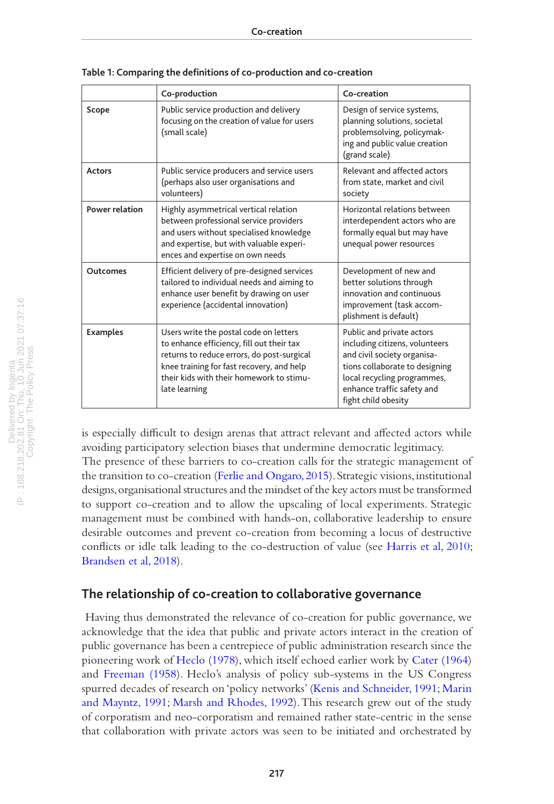|                       | Co-production                                                                                                                                                                                                                               | Co-creation                                                                                                                                                                                                      |
|-----------------------|---------------------------------------------------------------------------------------------------------------------------------------------------------------------------------------------------------------------------------------------|------------------------------------------------------------------------------------------------------------------------------------------------------------------------------------------------------------------|
| Scope                 | Public service production and delivery<br>focusing on the creation of value for users<br>(small scale)                                                                                                                                      | Design of service systems,<br>planning solutions, societal<br>problemsolving, policymak-<br>ing and public value creation<br>(grand scale)                                                                       |
| Actors                | Public service producers and service users<br>(perhaps also user organisations and<br>volunteers)                                                                                                                                           | Relevant and affected actors<br>from state, market and civil<br>society                                                                                                                                          |
| <b>Power relation</b> | Highly asymmetrical vertical relation<br>between professional service providers<br>and users without specialised knowledge<br>and expertise, but with valuable experi-<br>ences and expertise on own needs                                  | Horizontal relations between<br>interdependent actors who are<br>formally equal but may have<br>unequal power resources                                                                                          |
| Outcomes              | Efficient delivery of pre-designed services<br>tailored to individual needs and aiming to<br>enhance user benefit by drawing on user<br>experience (accidental innovation)                                                                  | Development of new and<br>better solutions through<br>innovation and continuous<br>improvement (task accom-<br>plishment is default)                                                                             |
| <b>Examples</b>       | Users write the postal code on letters<br>to enhance efficiency, fill out their tax<br>returns to reduce errors, do post-surgical<br>knee training for fast recovery, and help<br>their kids with their homework to stimu-<br>late learning | Public and private actors<br>including citizens, volunteers<br>and civil society organisa-<br>tions collaborate to designing<br>local recycling programmes,<br>enhance traffic safety and<br>fight child obesity |

<span id="page-6-0"></span>**Table 1: Comparing the definitions of co-production and co-creation**

is especially difficult to design arenas that attract relevant and affected actors while avoiding participatory selection biases that undermine democratic legitimacy. The presence of these barriers to co-creation calls for the strategic management of the transition to co-creation ([Ferlie and Ongaro, 2015\)](#page-16-5). Strategic visions, institutional designs, organisational structures and the mindset of the key actors must be transformed to support co-creation and to allow the upscaling of local experiments. Strategic management must be combined with hands-on, collaborative leadership to ensure desirable outcomes and prevent co-creation from becoming a locus of destructive conflicts or idle talk leading to the co-destruction of value (see [Harris et al, 2010;](#page-17-4) [Brandsen et al, 2018\)](#page-15-4).

#### **The relationship of co-creation to collaborative governance**

 Having thus demonstrated the relevance of co-creation for public governance, we acknowledge that the idea that public and private actors interact in the creation of public governance has been a centrepiece of public administration research since the pioneering work of [Heclo \(1978](#page-17-5)), which itself echoed earlier work by [Cater \(1964](#page-16-6)) and [Freeman \(1958](#page-16-7)). Heclo's analysis of policy sub-systems in the US Congress spurred decades of research on 'policy networks' ([Kenis and Schneider, 1991](#page-17-6); [Marin](#page-17-7)  [and Mayntz, 1991](#page-17-7); [Marsh and Rhodes, 1992](#page-18-13)). This research grew out of the study of corporatism and neo-corporatism and remained rather state-centric in the sense that collaboration with private actors was seen to be initiated and orchestrated by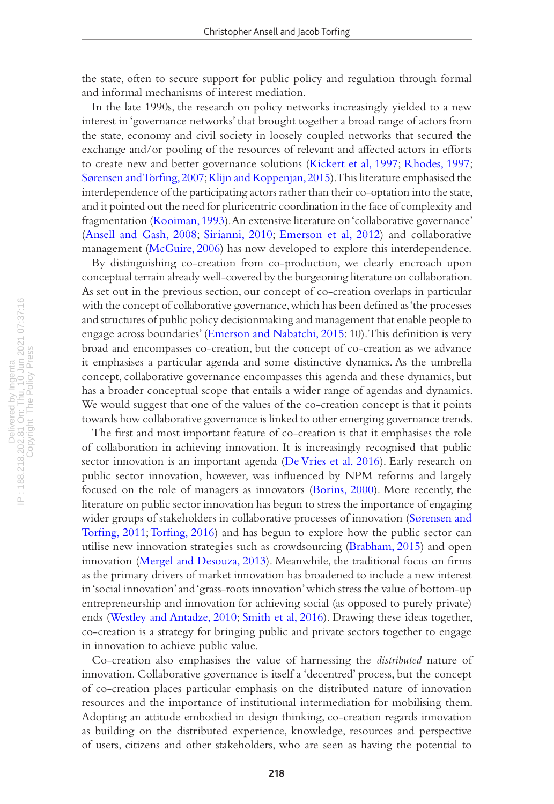the state, often to secure support for public policy and regulation through formal and informal mechanisms of interest mediation.

In the late 1990s, the research on policy networks increasingly yielded to a new interest in 'governance networks' that brought together a broad range of actors from the state, economy and civil society in loosely coupled networks that secured the exchange and/or pooling of the resources of relevant and affected actors in efforts to create new and better governance solutions ([Kickert et al, 1997;](#page-17-8) [Rhodes, 1997;](#page-18-14) [Sørensen and Torfing, 2007;](#page-19-5) [Klijn and Koppenjan, 2015\)](#page-17-9). This literature emphasised the interdependence of the participating actors rather than their co-optation into the state, and it pointed out the need for pluricentric coordination in the face of complexity and fragmentation ([Kooiman, 1993\)](#page-17-10). An extensive literature on 'collaborative governance' [\(Ansell and Gash, 2008](#page-14-2); [Sirianni, 2010](#page-19-6); [Emerson et al, 2012\)](#page-16-8) and collaborative management [\(McGuire, 2006\)](#page-18-15) has now developed to explore this interdependence.

By distinguishing co-creation from co-production, we clearly encroach upon conceptual terrain already well-covered by the burgeoning literature on collaboration. As set out in the previous section, our concept of co-creation overlaps in particular with the concept of collaborative governance, which has been defined as 'the processes and structures of public policy decisionmaking and management that enable people to engage across boundaries' [\(Emerson and Nabatchi, 2015](#page-18-0): 10). This definition is very broad and encompasses co-creation, but the concept of co-creation as we advance it emphasises a particular agenda and some distinctive dynamics. As the umbrella concept, collaborative governance encompasses this agenda and these dynamics, but has a broader conceptual scope that entails a wider range of agendas and dynamics. We would suggest that one of the values of the co-creation concept is that it points towards how collaborative governance is linked to other emerging governance trends.

The first and most important feature of co-creation is that it emphasises the role of collaboration in achieving innovation. It is increasingly recognised that public sector innovation is an important agenda ([De Vries et al, 2016](#page-16-9)). Early research on public sector innovation, however, was influenced by NPM reforms and largely focused on the role of managers as innovators [\(Borins, 2000](#page-15-12)). More recently, the literature on public sector innovation has begun to stress the importance of engaging wider groups of stakeholders in collaborative processes of innovation ([Sørensen and](#page-19-7)  [Torfing, 2011](#page-19-7); [Torfing, 2016\)](#page-19-8) and has begun to explore how the public sector can utilise new innovation strategies such as crowdsourcing [\(Brabham, 2015](#page-15-13)) and open innovation ([Mergel and Desouza, 2013](#page-18-16)). Meanwhile, the traditional focus on firms as the primary drivers of market innovation has broadened to include a new interest in 'social innovation' and 'grass-roots innovation' which stress the value of bottom-up entrepreneurship and innovation for achieving social (as opposed to purely private) ends ([Westley and Antadze, 2010;](#page-19-9) [Smith et al, 2016\)](#page-19-10). Drawing these ideas together, co-creation is a strategy for bringing public and private sectors together to engage in innovation to achieve public value.

Co-creation also emphasises the value of harnessing the *distributed* nature of innovation. Collaborative governance is itself a 'decentred' process, but the concept of co-creation places particular emphasis on the distributed nature of innovation resources and the importance of institutional intermediation for mobilising them. Adopting an attitude embodied in design thinking, co-creation regards innovation as building on the distributed experience, knowledge, resources and perspective of users, citizens and other stakeholders, who are seen as having the potential to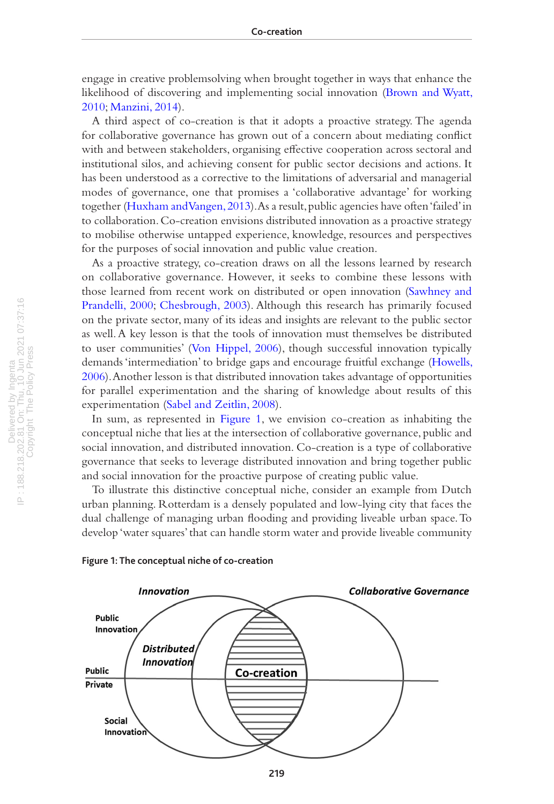engage in creative problemsolving when brought together in ways that enhance the likelihood of discovering and implementing social innovation ([Brown and Wyatt,](#page-16-10)  [2010;](#page-16-10) [Manzini, 2014\)](#page-17-11).

A third aspect of co-creation is that it adopts a proactive strategy. The agenda for collaborative governance has grown out of a concern about mediating conflict with and between stakeholders, organising effective cooperation across sectoral and institutional silos, and achieving consent for public sector decisions and actions. It has been understood as a corrective to the limitations of adversarial and managerial modes of governance, one that promises a 'collaborative advantage' for working together ([Huxham and Vangen, 2013\)](#page-17-12). As a result, public agencies have often 'failed' in to collaboration. Co-creation envisions distributed innovation as a proactive strategy to mobilise otherwise untapped experience, knowledge, resources and perspectives for the purposes of social innovation and public value creation.

As a proactive strategy, co-creation draws on all the lessons learned by research on collaborative governance. However, it seeks to combine these lessons with those learned from recent work on distributed or open innovation [\(Sawhney and](#page-19-11)  [Prandelli, 2000;](#page-19-11) [Chesbrough, 2003\)](#page-16-11). Although this research has primarily focused on the private sector, many of its ideas and insights are relevant to the public sector as well. A key lesson is that the tools of innovation must themselves be distributed to user communities' ([Von Hippel, 2006](#page-19-12)), though successful innovation typically demands 'intermediation' to bridge gaps and encourage fruitful exchange [\(Howells,](#page-17-13)  [2006\)](#page-17-13). Another lesson is that distributed innovation takes advantage of opportunities for parallel experimentation and the sharing of knowledge about results of this experimentation ([Sabel and Zeitlin, 2008\)](#page-18-17).

In sum, as represented in Figure 1, we envision co-creation as inhabiting the conceptual niche that lies at the intersection of collaborative governance, public and social innovation, and distributed innovation. Co-creation is a type of collaborative governance that seeks to leverage distributed innovation and bring together public and social innovation for the proactive purpose of creating public value.

To illustrate this distinctive conceptual niche, consider an example from Dutch urban planning. Rotterdam is a densely populated and low-lying city that faces the dual challenge of managing urban flooding and providing liveable urban space. To develop 'water squares' that can handle storm water and provide liveable community



#### <span id="page-8-0"></span>**Figure 1: The conceptual niche of co-creation**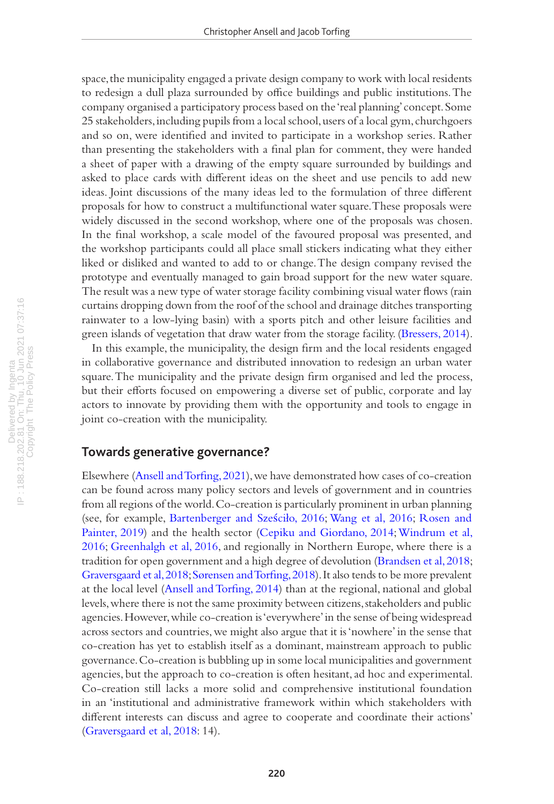space, the municipality engaged a private design company to work with local residents to redesign a dull plaza surrounded by office buildings and public institutions. The company organised a participatory process based on the 'real planning' concept. Some 25 stakeholders, including pupils from a local school, users of a local gym, churchgoers and so on, were identified and invited to participate in a workshop series. Rather than presenting the stakeholders with a final plan for comment, they were handed a sheet of paper with a drawing of the empty square surrounded by buildings and asked to place cards with different ideas on the sheet and use pencils to add new ideas. Joint discussions of the many ideas led to the formulation of three different proposals for how to construct a multifunctional water square. These proposals were widely discussed in the second workshop, where one of the proposals was chosen. In the final workshop, a scale model of the favoured proposal was presented, and the workshop participants could all place small stickers indicating what they either liked or disliked and wanted to add to or change. The design company revised the prototype and eventually managed to gain broad support for the new water square. The result was a new type of water storage facility combining visual water flows (rain curtains dropping down from the roof of the school and drainage ditches transporting rainwater to a low-lying basin) with a sports pitch and other leisure facilities and green islands of vegetation that draw water from the storage facility. [\(Bressers, 2014\)](#page-15-14).

In this example, the municipality, the design firm and the local residents engaged in collaborative governance and distributed innovation to redesign an urban water square. The municipality and the private design firm organised and led the process, but their efforts focused on empowering a diverse set of public, corporate and lay actors to innovate by providing them with the opportunity and tools to engage in joint co-creation with the municipality.

### **Towards generative governance?**

Elsewhere [\(Ansell and Torfing, 2021\)](#page-15-0), we have demonstrated how cases of co-creation can be found across many policy sectors and levels of government and in countries from all regions of the world. Co-creation is particularly prominent in urban planning (see, for example, [Bartenberger and Sze](#page-15-15)ściło, 2016; [Wang et al, 2016](#page-19-13); [Rosen and](#page-18-18)  [Painter, 2019\)](#page-18-18) and the health sector ([Cepiku and Giordano, 2014;](#page-16-12) [Windrum et al,](#page-19-14)  [2016;](#page-19-14) [Greenhalgh et al, 2016](#page-17-14), and regionally in Northern Europe, where there is a tradition for open government and a high degree of devolution ([Brandsen et al, 2018;](#page-15-4) [Graversgaard et al, 2018;](#page-17-15) [Sørensen and Torfing, 2018\)](#page-19-15). It also tends to be more prevalent at the local level ([Ansell and Torfing, 2014\)](#page-15-16) than at the regional, national and global levels, where there is not the same proximity between citizens, stakeholders and public agencies. However, while co-creation is 'everywhere' in the sense of being widespread across sectors and countries, we might also argue that it is 'nowhere' in the sense that co-creation has yet to establish itself as a dominant, mainstream approach to public governance. Co-creation is bubbling up in some local municipalities and government agencies, but the approach to co-creation is often hesitant, ad hoc and experimental. Co-creation still lacks a more solid and comprehensive institutional foundation in an 'institutional and administrative framework within which stakeholders with different interests can discuss and agree to cooperate and coordinate their actions' [\(Graversgaard et al, 2018:](#page-17-15) 14).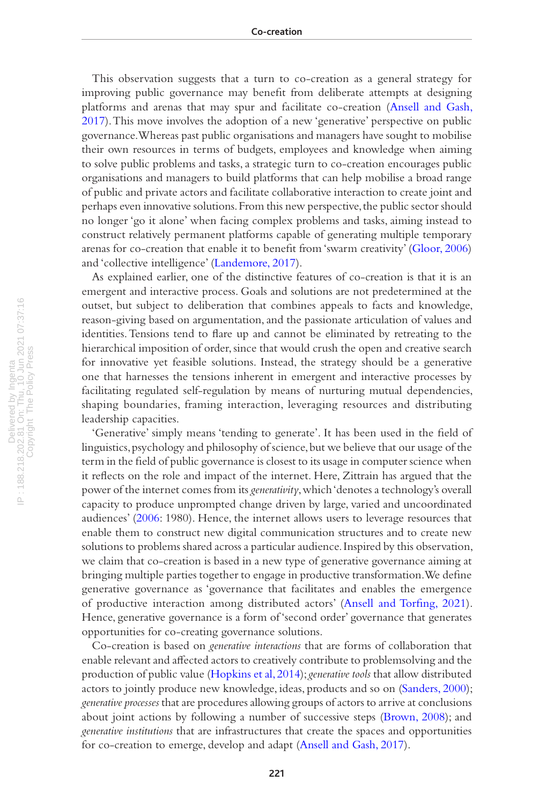This observation suggests that a turn to co-creation as a general strategy for improving public governance may benefit from deliberate attempts at designing platforms and arenas that may spur and facilitate co-creation [\(Ansell and Gash,](#page-15-17)  [2017\)](#page-15-17). This move involves the adoption of a new 'generative' perspective on public governance. Whereas past public organisations and managers have sought to mobilise their own resources in terms of budgets, employees and knowledge when aiming to solve public problems and tasks, a strategic turn to co-creation encourages public organisations and managers to build platforms that can help mobilise a broad range of public and private actors and facilitate collaborative interaction to create joint and perhaps even innovative solutions. From this new perspective, the public sector should no longer 'go it alone' when facing complex problems and tasks, aiming instead to construct relatively permanent platforms capable of generating multiple temporary arenas for co-creation that enable it to benefit from 'swarm creativity' [\(Gloor, 2006](#page-16-13)) and 'collective intelligence' ([Landemore, 2017\)](#page-17-16).

As explained earlier, one of the distinctive features of co-creation is that it is an emergent and interactive process. Goals and solutions are not predetermined at the outset, but subject to deliberation that combines appeals to facts and knowledge, reason-giving based on argumentation, and the passionate articulation of values and identities. Tensions tend to flare up and cannot be eliminated by retreating to the hierarchical imposition of order, since that would crush the open and creative search for innovative yet feasible solutions. Instead, the strategy should be a generative one that harnesses the tensions inherent in emergent and interactive processes by facilitating regulated self-regulation by means of nurturing mutual dependencies, shaping boundaries, framing interaction, leveraging resources and distributing leadership capacities.

'Generative' simply means 'tending to generate'. It has been used in the field of linguistics, psychology and philosophy of science, but we believe that our usage of the term in the field of public governance is closest to its usage in computer science when it reflects on the role and impact of the internet. Here, Zittrain has argued that the power of the internet comes from its *generativity*, which 'denotes a technology's overall capacity to produce unprompted change driven by large, varied and uncoordinated audiences' [\(2006:](#page-19-16) 1980). Hence, the internet allows users to leverage resources that enable them to construct new digital communication structures and to create new solutions to problems shared across a particular audience. Inspired by this observation, we claim that co-creation is based in a new type of generative governance aiming at bringing multiple parties together to engage in productive transformation. We define generative governance as 'governance that facilitates and enables the emergence of productive interaction among distributed actors' ([Ansell and Torfing, 2021\)](#page-15-0). Hence, generative governance is a form of 'second order' governance that generates opportunities for co-creating governance solutions.

Co-creation is based on *generative interactions* that are forms of collaboration that enable relevant and affected actors to creatively contribute to problemsolving and the production of public value [\(Hopkins et al, 2014\)](#page-17-17); *generative tools* that allow distributed actors to jointly produce new knowledge, ideas, products and so on [\(Sanders, 2000\)](#page-19-17); *generative processes* that are procedures allowing groups of actors to arrive at conclusions about joint actions by following a number of successive steps ([Brown, 2008](#page-15-18)); and *generative institutions* that are infrastructures that create the spaces and opportunities for co-creation to emerge, develop and adapt [\(Ansell and Gash, 2017\)](#page-15-17).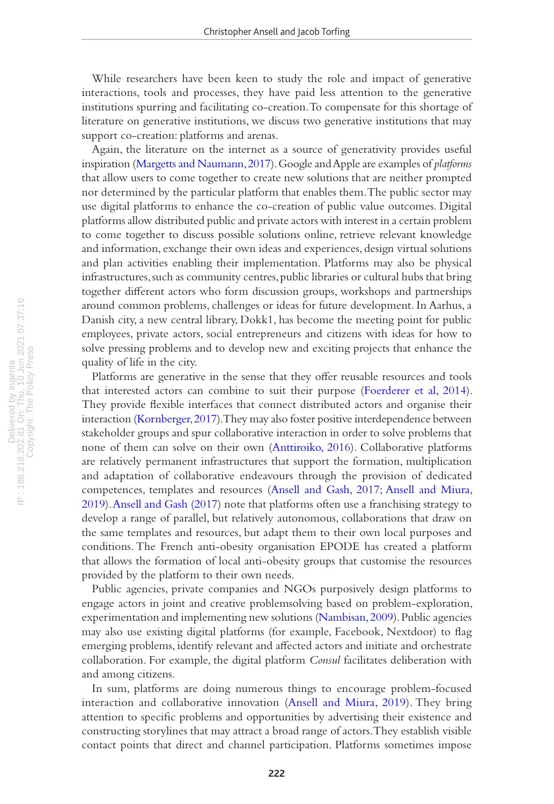While researchers have been keen to study the role and impact of generative interactions, tools and processes, they have paid less attention to the generative institutions spurring and facilitating co-creation. To compensate for this shortage of literature on generative institutions, we discuss two generative institutions that may support co-creation: platforms and arenas.

Again, the literature on the internet as a source of generativity provides useful inspiration ([Margetts and Naumann, 2017\)](#page-17-18). Google and Apple are examples of *platforms* that allow users to come together to create new solutions that are neither prompted nor determined by the particular platform that enables them. The public sector may use digital platforms to enhance the co-creation of public value outcomes. Digital platforms allow distributed public and private actors with interest in a certain problem to come together to discuss possible solutions online, retrieve relevant knowledge and information, exchange their own ideas and experiences, design virtual solutions and plan activities enabling their implementation. Platforms may also be physical infrastructures, such as community centres, public libraries or cultural hubs that bring together different actors who form discussion groups, workshops and partnerships around common problems, challenges or ideas for future development. In Aarhus, a Danish city, a new central library, Dokk1, has become the meeting point for public employees, private actors, social entrepreneurs and citizens with ideas for how to solve pressing problems and to develop new and exciting projects that enhance the quality of life in the city.

Platforms are generative in the sense that they offer reusable resources and tools that interested actors can combine to suit their purpose ([Foerderer et al, 2014\)](#page-16-14). They provide flexible interfaces that connect distributed actors and organise their interaction ([Kornberger, 2017](#page-17-19)). They may also foster positive interdependence between stakeholder groups and spur collaborative interaction in order to solve problems that none of them can solve on their own ([Anttiroiko, 2016\)](#page-15-19). Collaborative platforms are relatively permanent infrastructures that support the formation, multiplication and adaptation of collaborative endeavours through the provision of dedicated competences, templates and resources ([Ansell and Gash, 2017](#page-15-17); [Ansell and Miura,](#page-15-20)  [2019\)](#page-15-20). [Ansell and Gash \(2017\)](#page-15-17) note that platforms often use a franchising strategy to develop a range of parallel, but relatively autonomous, collaborations that draw on the same templates and resources, but adapt them to their own local purposes and conditions. The French anti-obesity organisation EPODE has created a platform that allows the formation of local anti-obesity groups that customise the resources provided by the platform to their own needs.

Public agencies, private companies and NGOs purposively design platforms to engage actors in joint and creative problemsolving based on problem-exploration, experimentation and implementing new solutions ([Nambisan, 2009](#page-18-19)). Public agencies may also use existing digital platforms (for example, Facebook, Nextdoor) to flag emerging problems, identify relevant and affected actors and initiate and orchestrate collaboration. For example, the digital platform *Consul* facilitates deliberation with and among citizens.

In sum, platforms are doing numerous things to encourage problem-focused interaction and collaborative innovation ([Ansell and Miura, 2019\)](#page-15-20). They bring attention to specific problems and opportunities by advertising their existence and constructing storylines that may attract a broad range of actors. They establish visible contact points that direct and channel participation. Platforms sometimes impose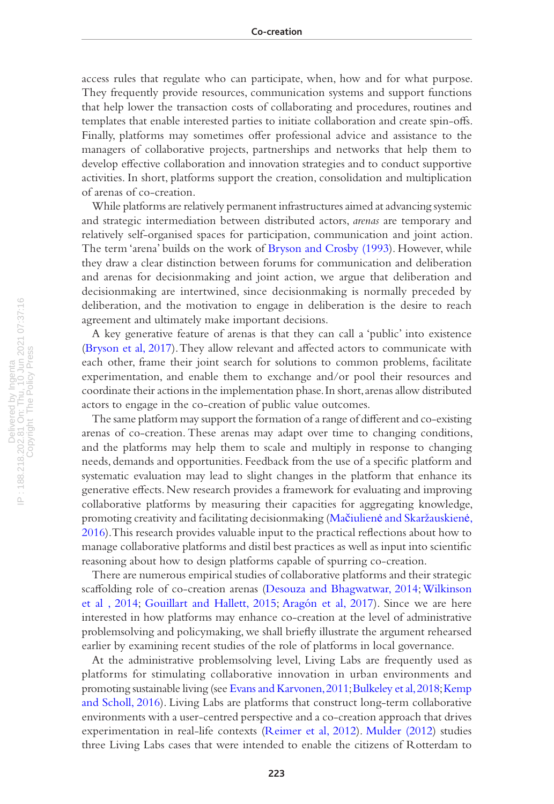access rules that regulate who can participate, when, how and for what purpose. They frequently provide resources, communication systems and support functions that help lower the transaction costs of collaborating and procedures, routines and templates that enable interested parties to initiate collaboration and create spin-offs. Finally, platforms may sometimes offer professional advice and assistance to the managers of collaborative projects, partnerships and networks that help them to develop effective collaboration and innovation strategies and to conduct supportive activities. In short, platforms support the creation, consolidation and multiplication of arenas of co-creation.

While platforms are relatively permanent infrastructures aimed at advancing systemic and strategic intermediation between distributed actors, *arenas* are temporary and relatively self-organised spaces for participation, communication and joint action. The term 'arena' builds on the work of [Bryson and Crosby \(1993\)](#page-16-15). However, while they draw a clear distinction between forums for communication and deliberation and arenas for decisionmaking and joint action, we argue that deliberation and decisionmaking are intertwined, since decisionmaking is normally preceded by deliberation, and the motivation to engage in deliberation is the desire to reach agreement and ultimately make important decisions.

A key generative feature of arenas is that they can call a 'public' into existence [\(Bryson et al, 2017](#page-16-1)). They allow relevant and affected actors to communicate with each other, frame their joint search for solutions to common problems, facilitate experimentation, and enable them to exchange and/or pool their resources and coordinate their actions in the implementation phase. In short, arenas allow distributed actors to engage in the co-creation of public value outcomes.

The same platform may support the formation of a range of different and co-existing arenas of co-creation. These arenas may adapt over time to changing conditions, and the platforms may help them to scale and multiply in response to changing needs, demands and opportunities. Feedback from the use of a specific platform and systematic evaluation may lead to slight changes in the platform that enhance its generative effects. New research provides a framework for evaluating and improving collaborative platforms by measuring their capacities for aggregating knowledge, promoting creativity and facilitating decisionmaking (Mačiulienė [and Skaržauskien](#page-17-20)ė, [2016\)](#page-17-20). This research provides valuable input to the practical reflections about how to manage collaborative platforms and distil best practices as well as input into scientific reasoning about how to design platforms capable of spurring co-creation.

There are numerous empirical studies of collaborative platforms and their strategic scaffolding role of co-creation arenas [\(Desouza and Bhagwatwar, 2014](#page-16-16); [Wilkinson](#page-19-18)  [et al , 2014;](#page-19-18) [Gouillart and Hallett, 2015;](#page-17-21) [Aragón et al, 2017\)](#page-15-21). Since we are here interested in how platforms may enhance co-creation at the level of administrative problemsolving and policymaking, we shall briefly illustrate the argument rehearsed earlier by examining recent studies of the role of platforms in local governance.

At the administrative problemsolving level, Living Labs are frequently used as platforms for stimulating collaborative innovation in urban environments and promoting sustainable living (see [Evans and Karvonen, 2011](#page-16-17); [Bulkeley et al,](#page-16-18) 2018; [Kemp](#page-17-22)  [and Scholl, 2016](#page-17-22)). Living Labs are platforms that construct long-term collaborative environments with a user-centred perspective and a co-creation approach that drives experimentation in real-life contexts [\(Reimer et al, 2012\)](#page-18-20). [Mulder \(2012](#page-18-21)) studies three Living Labs cases that were intended to enable the citizens of Rotterdam to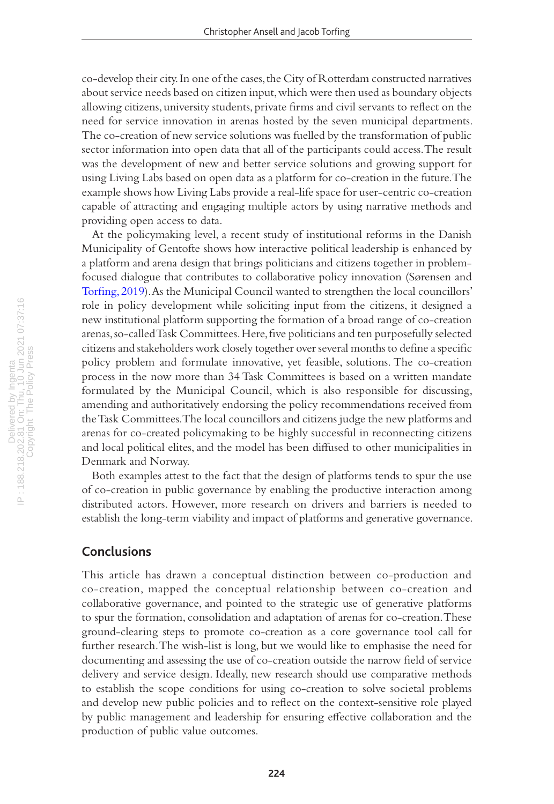co-develop their city. In one of the cases, the City of Rotterdam constructed narratives about service needs based on citizen input, which were then used as boundary objects allowing citizens, university students, private firms and civil servants to reflect on the need for service innovation in arenas hosted by the seven municipal departments. The co-creation of new service solutions was fuelled by the transformation of public sector information into open data that all of the participants could access. The result was the development of new and better service solutions and growing support for using Living Labs based on open data as a platform for co-creation in the future. The example shows how Living Labs provide a real-life space for user-centric co-creation capable of attracting and engaging multiple actors by using narrative methods and providing open access to data.

At the policymaking level, a recent study of institutional reforms in the Danish Municipality of Gentofte shows how interactive political leadership is enhanced by a platform and arena design that brings politicians and citizens together in problemfocused dialogue that contributes to collaborative policy innovation (Sørensen and [Torfing, 2019](#page-19-4)). As the Municipal Council wanted to strengthen the local councillors' role in policy development while soliciting input from the citizens, it designed a new institutional platform supporting the formation of a broad range of co-creation arenas, so-called Task Committees. Here, five politicians and ten purposefully selected citizens and stakeholders work closely together over several months to define a specific policy problem and formulate innovative, yet feasible, solutions. The co-creation process in the now more than 34 Task Committees is based on a written mandate formulated by the Municipal Council, which is also responsible for discussing, amending and authoritatively endorsing the policy recommendations received from the Task Committees. The local councillors and citizens judge the new platforms and arenas for co-created policymaking to be highly successful in reconnecting citizens and local political elites, and the model has been diffused to other municipalities in Denmark and Norway.

Both examples attest to the fact that the design of platforms tends to spur the use of co-creation in public governance by enabling the productive interaction among distributed actors. However, more research on drivers and barriers is needed to establish the long-term viability and impact of platforms and generative governance.

# **Conclusions**

This article has drawn a conceptual distinction between co-production and co-creation, mapped the conceptual relationship between co-creation and collaborative governance, and pointed to the strategic use of generative platforms to spur the formation, consolidation and adaptation of arenas for co-creation. These ground-clearing steps to promote co-creation as a core governance tool call for further research. The wish-list is long, but we would like to emphasise the need for documenting and assessing the use of co-creation outside the narrow field of service delivery and service design. Ideally, new research should use comparative methods to establish the scope conditions for using co-creation to solve societal problems and develop new public policies and to reflect on the context-sensitive role played by public management and leadership for ensuring effective collaboration and the production of public value outcomes.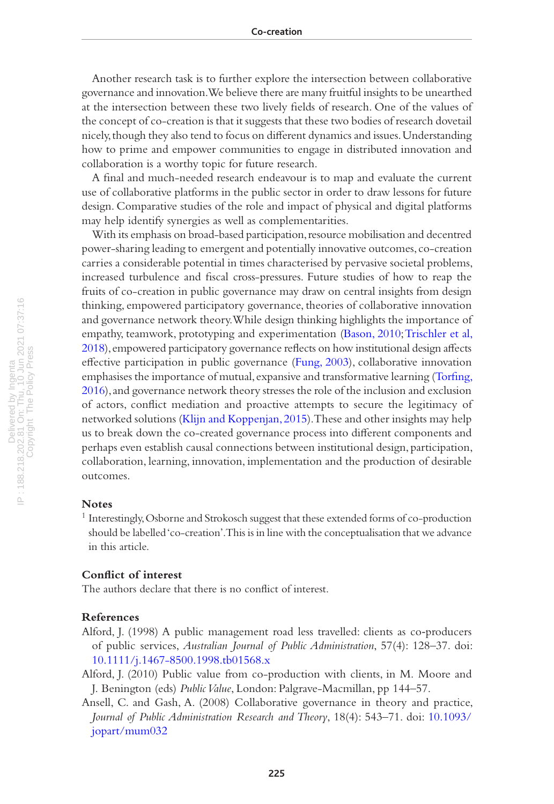Another research task is to further explore the intersection between collaborative governance and innovation. We believe there are many fruitful insights to be unearthed at the intersection between these two lively fields of research. One of the values of the concept of co-creation is that it suggests that these two bodies of research dovetail nicely, though they also tend to focus on different dynamics and issues. Understanding how to prime and empower communities to engage in distributed innovation and collaboration is a worthy topic for future research.

A final and much-needed research endeavour is to map and evaluate the current use of collaborative platforms in the public sector in order to draw lessons for future design. Comparative studies of the role and impact of physical and digital platforms may help identify synergies as well as complementarities.

With its emphasis on broad-based participation, resource mobilisation and decentred power-sharing leading to emergent and potentially innovative outcomes, co-creation carries a considerable potential in times characterised by pervasive societal problems, increased turbulence and fiscal cross-pressures. Future studies of how to reap the fruits of co-creation in public governance may draw on central insights from design thinking, empowered participatory governance, theories of collaborative innovation and governance network theory. While design thinking highlights the importance of empathy, teamwork, prototyping and experimentation ([Bason, 2010](#page-15-1); [Trischler et al,](#page-19-19)  [2018](#page-19-19)), empowered participatory governance reflects on how institutional design affects effective participation in public governance [\(Fung, 2003](#page-16-19)), collaborative innovation emphasises the importance of mutual, expansive and transformative learning [\(Torfing,](#page-19-8)  [2016](#page-19-8)), and governance network theory stresses the role of the inclusion and exclusion of actors, conflict mediation and proactive attempts to secure the legitimacy of networked solutions ([Klijn and Koppenjan, 2015\)](#page-17-9). These and other insights may help us to break down the co-created governance process into different components and perhaps even establish causal connections between institutional design, participation, collaboration, learning, innovation, implementation and the production of desirable outcomes.

#### **Notes**

1 Interestingly, Osborne and Strokosch suggest that these extended forms of co-production should be labelled 'co-creation'. This is in line with the conceptualisation that we advance in this article.

#### **Conflict of interest**

The authors declare that there is no conflict of interest.

#### **References**

- <span id="page-14-1"></span>Alford, J. (1998) A public management road less travelled: clients as co-producers of public services, *Australian Journal of Public Administration*, 57(4): 128–37. doi: [10.1111/j.1467-8500.1998.tb01568.x](https://doi.org/10.1111/j.1467-8500.1998.tb01568.x)
- <span id="page-14-0"></span>Alford, J. (2010) Public value from co-production with clients, in M. Moore and J. Benington (eds) *Public Value*, London: Palgrave-Macmillan, pp 144–57.
- <span id="page-14-2"></span>Ansell, C. and Gash, A. (2008) Collaborative governance in theory and practice, *Journal of Public Administration Research and Theory*, 18(4): 543–71. doi: [10.1093/](https://doi.org/10.1093/jopart/mum032) [jopart/mum032](https://doi.org/10.1093/jopart/mum032)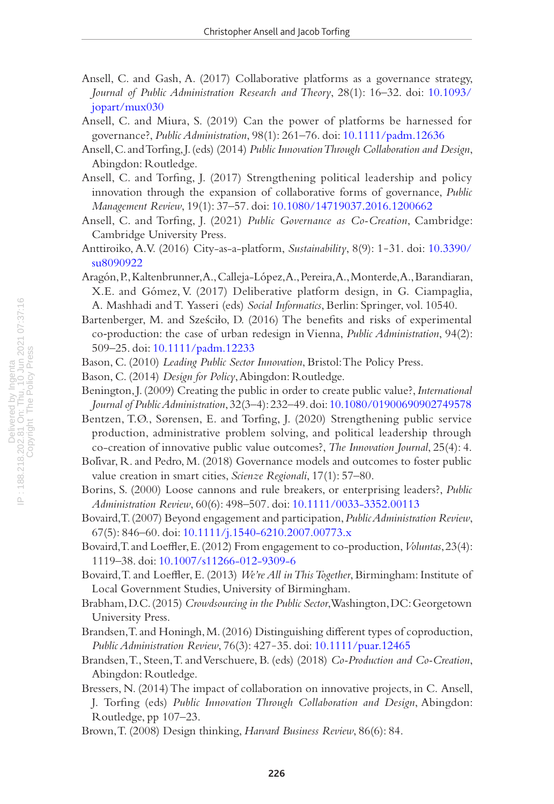- <span id="page-15-17"></span>Ansell, C. and Gash, A. (2017) Collaborative platforms as a governance strategy, *Journal of Public Administration Research and Theory*, 28(1): 16–32. doi: [10.1093/](https://doi.org/10.1093/jopart/mux030) [jopart/mux030](https://doi.org/10.1093/jopart/mux030)
- <span id="page-15-20"></span>Ansell, C. and Miura, S. (2019) Can the power of platforms be harnessed for governance?, *Public Administration*, 98(1): 261–76. doi: [10.1111/padm.12636](https://doi.org/10.1111/padm.12636)
- <span id="page-15-2"></span>Ansell, C. and Torfing, J. (eds) (2014) *Public Innovation Through Collaboration and Design*, Abingdon: Routledge.
- <span id="page-15-0"></span>Ansell, C. and Torfing, J. (2017) Strengthening political leadership and policy innovation through the expansion of collaborative forms of governance, *Public Management Review*, 19(1): 37–57. doi: [10.1080/14719037.2016.1200662](https://doi.org/10.1080/14719037.2016.1200662)
- <span id="page-15-16"></span>Ansell, C. and Torfing, J. (2021) *Public Governance as Co-Creation*, Cambridge: Cambridge University Press.
- <span id="page-15-19"></span>Anttiroiko, A.V. (2016) City-as-a-platform, *Sustainability*, 8(9): 1‒31. doi: [10.3390/](https://doi.org/10.3390/su8090922) [su8090922](https://doi.org/10.3390/su8090922)
- <span id="page-15-21"></span>Aragón, P., Kaltenbrunner, A., Calleja-López, A., Pereira, A., Monterde, A., Barandiaran, X.E. and Gómez, V. (2017) Deliberative platform design, in G. Ciampaglia, A. Mashhadi and T. Yasseri (eds) *Social Informatics*, Berlin: Springer, vol. 10540.
- <span id="page-15-15"></span>Bartenberger, M. and Sześciło, D. (2016) The benefits and risks of experimental co‐production: the case of urban redesign in Vienna, *Public Administration*, 94(2): 509–25. doi: [10.1111/padm.12233](https://doi.org/10.1111/padm.12233)
- <span id="page-15-1"></span>Bason, C. (2010) *Leading Public Sector Innovation*, Bristol: The Policy Press.
- <span id="page-15-7"></span>Bason, C. (2014) *Design for Policy*, Abingdon: Routledge.
- <span id="page-15-9"></span>Benington, J. (2009) Creating the public in order to create public value?, *International Journal of Public Administration*, 32(3–4): 232–49. doi: [10.1080/01900690902749578](https://doi.org/10.1080/01900690902749578)
- <span id="page-15-11"></span>Bentzen, T.Ø., Sørensen, E. and Torfing, J. (2020) Strengthening public service production, administrative problem solving, and political leadership through co-creation of innovative public value outcomes?, *The Innovation Journal*, 25(4): 4.
- <span id="page-15-8"></span>Bolívar, R. and Pedro, M. (2018) Governance models and outcomes to foster public value creation in smart cities, *Scienze Regionali*, 17(1): 57–80.
- <span id="page-15-12"></span>Borins, S. (2000) Loose cannons and rule breakers, or enterprising leaders?, *Public Administration Review*, 60(6): 498–507. doi: [10.1111/0033-3352.00113](https://doi.org/10.1111/0033-3352.00113)
- <span id="page-15-5"></span>Bovaird, T. (2007) Beyond engagement and participation, *Public Administration Review*, 67(5): 846–60. doi: [10.1111/j.1540-6210.2007.00773.x](https://doi.org/10.1111/j.1540-6210.2007.00773.x)
- <span id="page-15-10"></span>Bovaird, T. and Loeffler, E. (2012) From engagement to co-production, *Voluntas*, 23(4): 1119–38. doi: [10.1007/s11266-012-9309-6](https://doi.org/10.1007/s11266-012-9309-6)
- <span id="page-15-6"></span>Bovaird, T. and Loeffler, E. (2013) *We're All in This Together*, Birmingham: Institute of Local Government Studies, University of Birmingham.
- <span id="page-15-13"></span>Brabham, D.C. (2015) *Crowdsourcing in the Public Sector*, Washington, DC: Georgetown University Press.
- <span id="page-15-3"></span>Brandsen, T. and Honingh, M. (2016) Distinguishing different types of coproduction, *Public Administration Review*, 76(3): 427‒35. doi: [10.1111/puar.12465](https://doi.org/10.1111/puar.12465)
- <span id="page-15-4"></span>Brandsen, T., Steen, T. and Verschuere, B. (eds) (2018) *Co-Production and Co-Creation*, Abingdon: Routledge.
- <span id="page-15-14"></span>Bressers, N. (2014) The impact of collaboration on innovative projects, in C. Ansell, J. Torfing (eds) *Public Innovation Through Collaboration and Design*, Abingdon: Routledge, pp 107–23.
- <span id="page-15-18"></span>Brown, T. (2008) Design thinking, *Harvard Business Review*, 86(6): 84.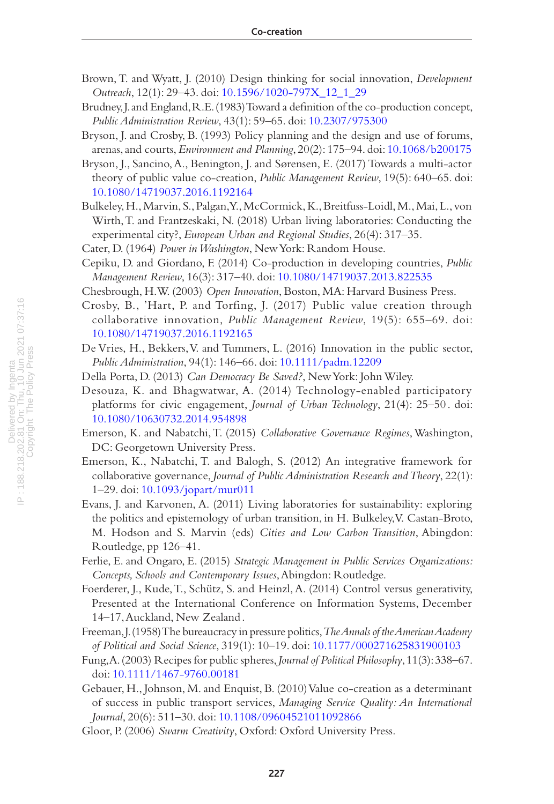- <span id="page-16-10"></span>Brown, T. and Wyatt, J. (2010) Design thinking for social innovation, *Development Outreach*, 12(1): 29–43. doi: [10.1596/1020-797X\\_12\\_1\\_29](https://doi.org/10.1596/1020-797X_12_1_29)
- <span id="page-16-3"></span>Brudney, J. and England, R.E. (1983) Toward a definition of the co-production concept, *Public Administration Review*, 43(1): 59–65. doi: [10.2307/975300](https://doi.org/10.2307/975300)
- <span id="page-16-15"></span>Bryson, J. and Crosby, B. (1993) Policy planning and the design and use of forums, arenas, and courts, *Environment and Planning*, 20(2): 175–94. doi: [10.1068/b200175](https://doi.org/10.1068/b200175)
- <span id="page-16-1"></span>Bryson, J., Sancino, A., Benington, J. and Sørensen, E. (2017) Towards a multi-actor theory of public value co-creation, *Public Management Review*, 19(5): 640–65. doi: [10.1080/14719037.2016.1192164](https://doi.org/10.1080/14719037.2016.1192164)
- <span id="page-16-18"></span>Bulkeley, H., Marvin, S., Palgan, Y., McCormick, K., Breitfuss-Loidl, M., Mai, L., von Wirth, T. and Frantzeskaki, N. (2018) Urban living laboratories: Conducting the experimental city?, *European Urban and Regional Studies*, 26(4): 317–35.
- <span id="page-16-6"></span>Cater, D. (1964) *Power in Washington*, New York: Random House.
- <span id="page-16-12"></span>Cepiku, D. and Giordano, F. (2014) Co-production in developing countries, *Public Management Review*, 16(3): 317–40. doi: [10.1080/14719037.2013.822535](https://doi.org/10.1080/14719037.2013.822535)
- <span id="page-16-11"></span>Chesbrough, H.W. (2003) *Open Innovation*, Boston, MA: Harvard Business Press.
- <span id="page-16-2"></span>Crosby, B., 'Hart, P. and Torfing, J. (2017) Public value creation through collaborative innovation, *Public Management Review*, 19(5): 655–69. doi: [10.1080/14719037.2016.1192165](https://doi.org/10.1080/14719037.2016.1192165)
- <span id="page-16-9"></span>De Vries, H., Bekkers, V. and Tummers, L. (2016) Innovation in the public sector, *Public Administration*, 94(1): 146–66. doi: [10.1111/padm.12209](https://doi.org/10.1111/padm.12209)
- <span id="page-16-0"></span>Della Porta, D. (2013) *Can Democracy Be Saved?*, New York: John Wiley.
- <span id="page-16-16"></span>Desouza, K. and Bhagwatwar, A. (2014) Technology-enabled participatory platforms for civic engagement, *Journal of Urban Technology*, 21(4): 25–50 . doi: [10.1080/10630732.2014.954898](https://doi.org/10.1080/10630732.2014.954898)
- Emerson, K. and Nabatchi, T. (2015) *Collaborative Governance Regimes*, Washington, DC: Georgetown University Press.
- <span id="page-16-8"></span>Emerson, K., Nabatchi, T. and Balogh, S. (2012) An integrative framework for collaborative governance, *Journal of Public Administration Research and Theory*, 22(1): 1–29. doi: [10.1093/jopart/mur011](https://doi.org/10.1093/jopart/mur011)
- <span id="page-16-17"></span>Evans, J. and Karvonen, A. (2011) Living laboratories for sustainability: exploring the politics and epistemology of urban transition, in H. Bulkeley, V. Castan-Broto, M. Hodson and S. Marvin (eds) *Cities and Low Carbon Transition*, Abingdon: Routledge, pp 126–41.
- <span id="page-16-5"></span>Ferlie, E. and Ongaro, E. (2015) *Strategic Management in Public Services Organizations: Concepts, Schools and Contemporary Issues*, Abingdon: Routledge.
- <span id="page-16-14"></span>Foerderer, J., Kude, T., Schütz, S. and Heinzl, A. (2014) Control versus generativity, Presented at the International Conference on Information Systems, December 14–17, Auckland, New Zealand .
- <span id="page-16-7"></span>Freeman, J. (1958) The bureaucracy in pressure politics, *The Annals of the American Academy of Political and Social Science*, 319(1): 10–19. doi: [10.1177/000271625831900103](https://doi.org/10.1177/000271625831900103)
- <span id="page-16-19"></span>Fung, A. (2003) Recipes for public spheres, *Journal of Political Philosophy*, 11(3): 338–67. doi: [10.1111/1467-9760.00181](https://doi.org/10.1111/1467-9760.00181)
- <span id="page-16-4"></span>Gebauer, H., Johnson, M. and Enquist, B. (2010) Value co-creation as a determinant of success in public transport services, *Managing Service Quality: An International Journal*, 20(6): 511–30. doi: [10.1108/09604521011092866](https://doi.org/10.1108/09604521011092866)

<span id="page-16-13"></span>Gloor, P. (2006) *Swarm Creativity*, Oxford: Oxford University Press.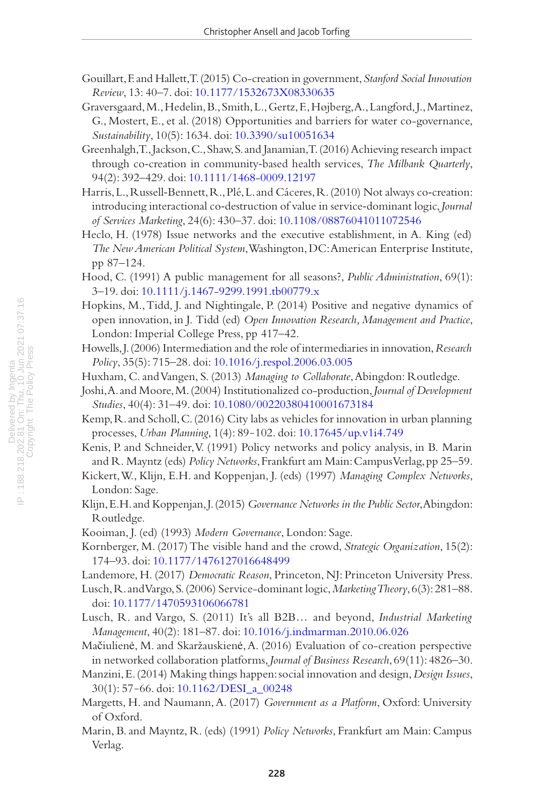- <span id="page-17-21"></span>Gouillart, F. and Hallett, T. (2015) Co-creation in government, *Stanford Social Innovation Review*, 13: 40–7. doi: [10.1177/1532673X08330635](http://doi.org/10.1177/1532673X08330635)
- <span id="page-17-15"></span>Graversgaard, M., Hedelin, B., Smith, L., Gertz, F., Højberg, A., Langford, J., Martinez, G., Mostert, E., et al. (2018) Opportunities and barriers for water co-governance, *Sustainability*, 10(5): 1634. doi: [10.3390/su10051634](https://doi.org/10.3390/su10051634)
- <span id="page-17-14"></span>Greenhalgh, T., Jackson, C., Shaw, S. and Janamian, T. (2016) Achieving research impact through co‐creation in community‐based health services, *The Milbank Quarterly*, 94(2): 392–429. doi: [10.1111/1468-0009.12197](https://doi.org/10.1111/1468-0009.12197)
- <span id="page-17-4"></span>Harris, L., Russell-Bennett, R., Plé, L. and Cáceres, R. (2010) Not always co-creation: introducing interactional co‐destruction of value in service‐dominant logic, *Journal of Services Marketing*, 24(6): 430–37. doi: [10.1108/08876041011072546](https://doi.org/10.1108/08876041011072546)
- <span id="page-17-5"></span>Heclo, H. (1978) Issue networks and the executive establishment, in A. King (ed) *The New American Political System*, Washington, DC: American Enterprise Institute, pp 87–124.
- <span id="page-17-0"></span>Hood, C. (1991) A public management for all seasons?, *Public Administration*, 69(1): 3–19. doi: [10.1111/j.1467-9299.1991.tb00779.x](https://doi.org/10.1111/j.1467-9299.1991.tb00779.x)
- <span id="page-17-17"></span>Hopkins, M., Tidd, J. and Nightingale, P. (2014) Positive and negative dynamics of open innovation, in J. Tidd (ed) *Open Innovation Research, Management and Practice*, London: Imperial College Press, pp 417–42.
- <span id="page-17-13"></span>Howells, J. (2006) Intermediation and the role of intermediaries in innovation, *Research Policy*, 35(5): 715–28. doi: [10.1016/j.respol.2006.03.005](https://doi.org/10.1016/j.respol.2006.03.005)
- <span id="page-17-12"></span>Huxham, C. and Vangen, S. (2013) *Managing to Collaborate*, Abingdon: Routledge.
- <span id="page-17-3"></span>Joshi, A. and Moore, M. (2004) Institutionalized co-production, *Journal of Development Studies*, 40(4): 31–49. doi: [10.1080/00220380410001673184](https://doi.org/10.1080/00220380410001673184)
- <span id="page-17-22"></span>Kemp, R. and Scholl, C. (2016) City labs as vehicles for innovation in urban planning processes, *Urban Planning*, 1(4): 89‒102. doi: [10.17645/up.v1i4.749](https://doi.org/10.17645/up.v1i4.749)
- <span id="page-17-6"></span>Kenis, P. and Schneider, V. (1991) Policy networks and policy analysis, in B. Marin and R. Mayntz (eds) *Policy Networks*, Frankfurt am Main: Campus Verlag, pp 25–59.
- <span id="page-17-8"></span>Kickert, W., Klijn, E.H. and Koppenjan, J. (eds) (1997) *Managing Complex Networks*, London: Sage.
- <span id="page-17-9"></span>Klijn, E.H. and Koppenjan, J. (2015) *Governance Networks in the Public Sector*, Abingdon: Routledge.
- <span id="page-17-10"></span>Kooiman, J. (ed) (1993) *Modern Governance*, London: Sage.
- <span id="page-17-19"></span>Kornberger, M. (2017) The visible hand and the crowd, *Strategic Organization*, 15(2): 174–93. doi: [10.1177/1476127016648499](https://doi.org/10.1177/1476127016648499)
- <span id="page-17-16"></span>Landemore, H. (2017) *Democratic Reason*, Princeton, NJ: Princeton University Press.
- <span id="page-17-1"></span>Lusch, R. and Vargo, S. (2006) Service-dominant logic, *Marketing Theory*, 6(3): 281–88. doi: [10.1177/1470593106066781](https://doi.org/10.1177/1470593106066781)
- <span id="page-17-2"></span>Lusch, R. and Vargo, S. (2011) It's all B2B… and beyond, *Industrial Marketing Management*, 40(2): 181–87. doi: [10.1016/j.indmarman.2010.06.026](https://doi.org/10.1016/j.indmarman.2010.06.026)
- <span id="page-17-20"></span>Mačiulienė, M. and Skaržauskienė, A. (2016) Evaluation of co-creation perspective in networked collaboration platforms, *Journal of Business Research*, 69(11): 4826–30.
- <span id="page-17-11"></span>Manzini, E. (2014) Making things happen: social innovation and design, *Design Issues*, 30(1): 57‒66. doi: [10.1162/DESI\\_a\\_00248](https://doi.org/10.1162/DESI_a_00248)
- <span id="page-17-18"></span>Margetts, H. and Naumann, A. (2017) *Government as a Platform*, Oxford: University of Oxford.
- <span id="page-17-7"></span>Marin, B. and Mayntz, R. (eds) (1991) *Policy Networks*, Frankfurt am Main: Campus Verlag.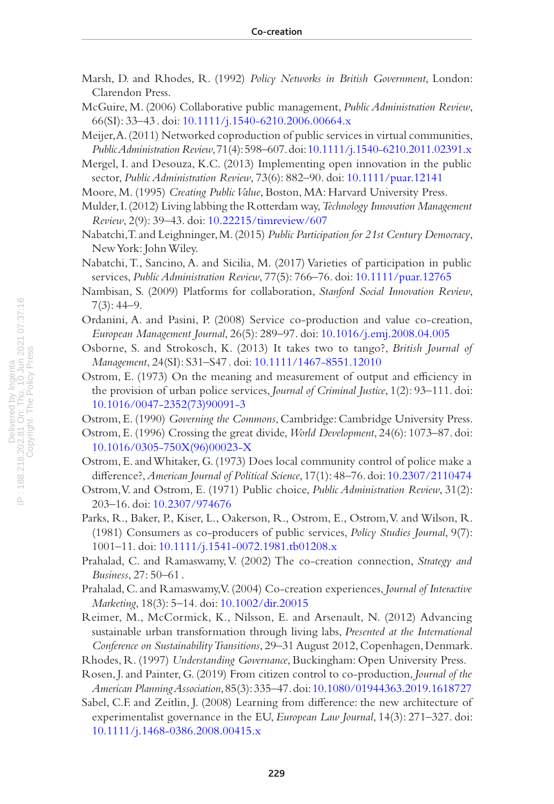<span id="page-18-13"></span>Marsh, D. and Rhodes, R. (1992) *Policy Networks in British Government*, London: Clarendon Press.

<span id="page-18-15"></span>McGuire, M. (2006) Collaborative public management, *Public Administration Review*, 66(SI): 33–43 . doi: [10.1111/j.1540-6210.2006.00664.x](https://doi.org/10.1111/j.1540-6210.2006.00664.x)

<span id="page-18-10"></span>Meijer, A. (2011) Networked coproduction of public services in virtual communities, *Public Administration Review*, 71(4): 598–607. doi: [10.1111/j.1540-6210.2011.02391.x](https://doi.org/10.1111/j.1540-6210.2011.02391.x)

<span id="page-18-16"></span>Mergel, I. and Desouza, K.C. (2013) Implementing open innovation in the public sector, *Public Administration Review*, 73(6): 882–90. doi: [10.1111/puar.12141](https://doi.org/10.1111/puar.12141)

<span id="page-18-12"></span>Moore, M. (1995) *Creating Public Value*, Boston, MA: Harvard University Press.

- <span id="page-18-21"></span>Mulder, I. (2012) Living labbing the Rotterdam way, *Technology Innovation Management Review*, 2(9): 39–43. doi: [10.22215/timreview/607](https://doi.org/10.22215/timreview/607)
- <span id="page-18-0"></span>Nabatchi, T. and Leighninger, M. (2015) *Public Participation for 21st Century Democracy*, New York: John Wiley.
- <span id="page-18-9"></span>Nabatchi, T., Sancino, A. and Sicilia, M. (2017) Varieties of participation in public services, *Public Administration Review*, 77(5): 766–76. doi: [10.1111/puar.12765](https://doi.org/10.1111/puar.12765)
- <span id="page-18-19"></span>Nambisan, S. (2009) Platforms for collaboration, *Stanford Social Innovation Review*,  $7(3): 44 - 9.$
- <span id="page-18-7"></span>Ordanini, A. and Pasini, P. (2008) Service co-production and value co-creation, *European Management Journal*, 26(5): 289–97. doi: [10.1016/j.emj.2008.04.005](https://doi.org/10.1016/j.emj.2008.04.005)
- <span id="page-18-4"></span>Osborne, S. and Strokosch, K. (2013) It takes two to tango?, *British Journal of Management*, 24(SI): S31–S47 . doi: [10.1111/1467-8551.12010](https://doi.org/10.1111/1467-8551.12010)
- Ostrom, E. (1973) On the meaning and measurement of output and efficiency in the provision of urban police services, *Journal of Criminal Justice*, 1(2): 93–111. doi: [10.1016/0047-2352\(73\)90091-3](https://doi.org/10.1016/0047-2352(73)90091-3)

<span id="page-18-8"></span>Ostrom, E. (1990) *Governing the Commons*, Cambridge: Cambridge University Press.

- <span id="page-18-11"></span>Ostrom, E. (1996) Crossing the great divide, *World Development*, 24(6): 1073–87. doi: [10.1016/0305-750X\(96\)00023-X](https://doi.org/10.1016/0305-750X(96)00023-X)
- <span id="page-18-2"></span>Ostrom, E. and Whitaker, G. (1973) Does local community control of police make a difference?, *American Journal of Political Science*, 17(1): 48–76. doi: [10.2307/2110474](https://doi.org/10.2307/2110474)
- <span id="page-18-1"></span>Ostrom, V. and Ostrom, E. (1971) Public choice, *Public Administration Review*, 31(2): 203–16. doi: [10.2307/974676](https://doi.org/10.2307/974676)
- <span id="page-18-3"></span>Parks, R., Baker, P., Kiser, L., Oakerson, R., Ostrom, E., Ostrom, V. and Wilson, R. (1981) Consumers as co-producers of public services, *Policy Studies Journal*, 9(7): 1001–11. doi: [10.1111/j.1541-0072.1981.tb01208.x](https://doi.org/10.1111/j.1541-0072.1981.tb01208.x)
- <span id="page-18-5"></span>Prahalad, C. and Ramaswamy, V. (2002) The co-creation connection, *Strategy and Business*, 27: 50–61 .
- <span id="page-18-6"></span>Prahalad, C. and Ramaswamy, V. (2004) Co-creation experiences, *Journal of Interactive Marketing*, 18(3): 5–14. doi: [10.1002/dir.20015](https://doi.org/10.1002/dir.20015)

<span id="page-18-20"></span>Reimer, M., McCormick, K., Nilsson, E. and Arsenault, N. (2012) Advancing sustainable urban transformation through living labs, *Presented at the International Conference on Sustainability Transitions*, 29–31 August 2012, Copenhagen, Denmark.

<span id="page-18-14"></span>Rhodes, R. (1997) *Understanding Governance*, Buckingham: Open University Press.

- <span id="page-18-18"></span>Rosen, J. and Painter, G. (2019) From citizen control to co-production, *Journal of the American Planning Association*, 85(3): 335–47. doi: [10.1080/01944363.2019.1618727](https://doi.org/10.1080/01944363.2019.1618727)
- <span id="page-18-17"></span>Sabel, C.F. and Zeitlin, J. (2008) Learning from difference: the new architecture of experimentalist governance in the EU, *European Law Journal*, 14(3): 271–327. doi: [10.1111/j.1468-0386.2008.00415.x](https://doi.org/10.1111/j.1468-0386.2008.00415.x)